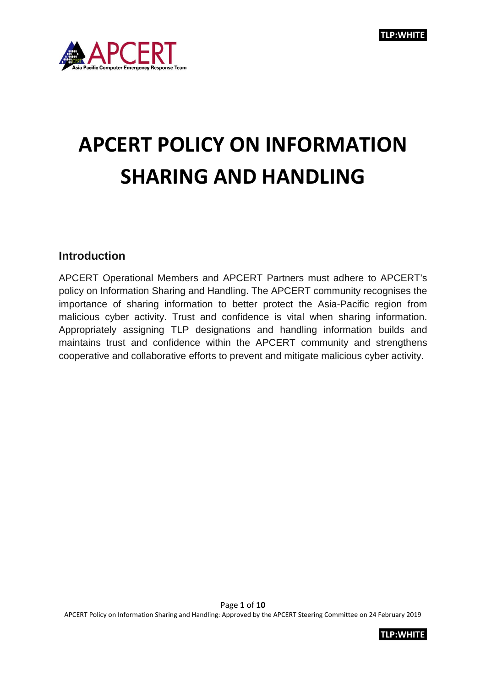

# **APCERT POLICY ON INFORMATION SHARING AND HANDLING**

## **Introduction**

APCERT Operational Members and APCERT Partners must adhere to APCERT's policy on Information Sharing and Handling. The APCERT community recognises the importance of sharing information to better protect the Asia-Pacific region from malicious cyber activity. Trust and confidence is vital when sharing information. Appropriately assigning TLP designations and handling information builds and maintains trust and confidence within the APCERT community and strengthens cooperative and collaborative efforts to prevent and mitigate malicious cyber activity.

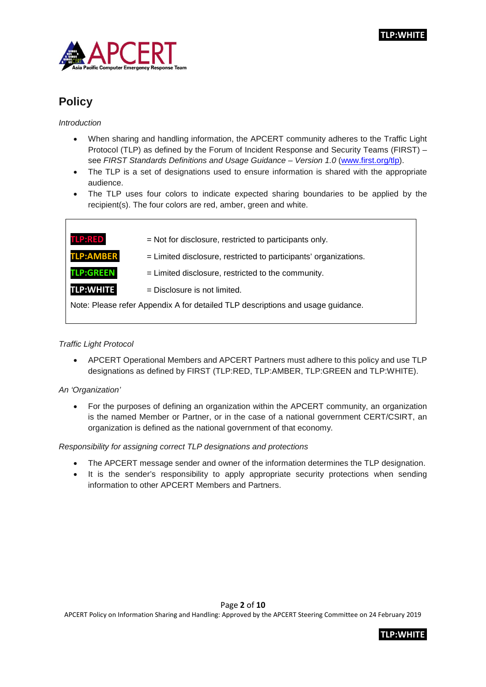



# **Policy**

*Introduction*

- When sharing and handling information, the APCERT community adheres to the Traffic Light Protocol (TLP) as defined by the Forum of Incident Response and Security Teams (FIRST) – see *FIRST Standards Definitions and Usage Guidance – Version 1.0* [\(www.first.org/tlp\)](http://www.first.org/tlp).
- The TLP is a set of designations used to ensure information is shared with the appropriate audience.
- The TLP uses four colors to indicate expected sharing boundaries to be applied by the recipient(s). The four colors are red, amber, green and white.

| <b>TLP:RED</b>                                                                  | = Not for disclosure, restricted to participants only.           |  |
|---------------------------------------------------------------------------------|------------------------------------------------------------------|--|
| <b>TLP:AMBER</b>                                                                | = Limited disclosure, restricted to participants' organizations. |  |
| <b>TLP:GREEN</b>                                                                | = Limited disclosure, restricted to the community.               |  |
| <b>TLP:WHITE</b>                                                                | $=$ Disclosure is not limited.                                   |  |
| Note: Please refer Appendix A for detailed TLP descriptions and usage guidance. |                                                                  |  |

#### *Traffic Light Protocol*

• APCERT Operational Members and APCERT Partners must adhere to this policy and use TLP designations as defined by FIRST (TLP:RED, TLP:AMBER, TLP:GREEN and TLP:WHITE).

#### *An 'Organization'*

• For the purposes of defining an organization within the APCERT community, an organization is the named Member or Partner, or in the case of a national government CERT/CSIRT, an organization is defined as the national government of that economy.

#### *Responsibility for assigning correct TLP designations and protections*

- The APCERT message sender and owner of the information determines the TLP designation.
- It is the sender's responsibility to apply appropriate security protections when sending information to other APCERT Members and Partners.

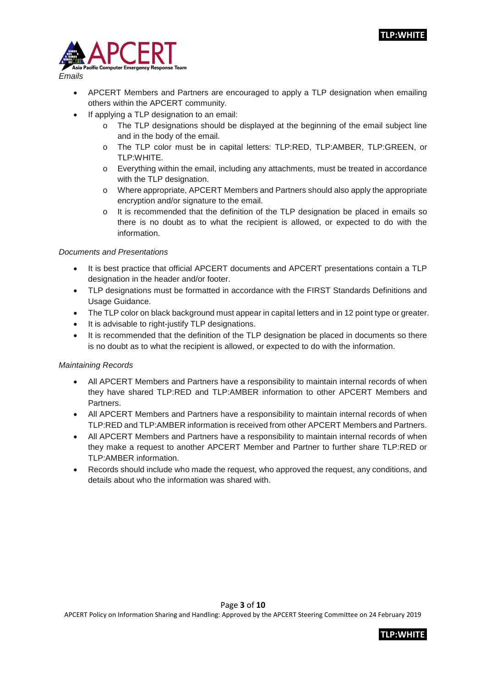

• APCERT Members and Partners are encouraged to apply a TLP designation when emailing others within the APCERT community.

- If applying a TLP designation to an email:
	- $\circ$  The TLP designations should be displayed at the beginning of the email subject line and in the body of the email.
	- o The TLP color must be in capital letters: TLP:RED, TLP:AMBER, TLP:GREEN, or TLP:WHITE.
	- o Everything within the email, including any attachments, must be treated in accordance with the TLP designation.
	- o Where appropriate, APCERT Members and Partners should also apply the appropriate encryption and/or signature to the email.
	- o It is recommended that the definition of the TLP designation be placed in emails so there is no doubt as to what the recipient is allowed, or expected to do with the information.

#### *Documents and Presentations*

- It is best practice that official APCERT documents and APCERT presentations contain a TLP designation in the header and/or footer.
- TLP designations must be formatted in accordance with the FIRST Standards Definitions and Usage Guidance.
- The TLP color on black background must appear in capital letters and in 12 point type or greater.
- It is advisable to right-justify TLP designations.
- It is recommended that the definition of the TLP designation be placed in documents so there is no doubt as to what the recipient is allowed, or expected to do with the information.

#### *Maintaining Records*

- All APCERT Members and Partners have a responsibility to maintain internal records of when they have shared TLP:RED and TLP:AMBER information to other APCERT Members and Partners.
- All APCERT Members and Partners have a responsibility to maintain internal records of when TLP:RED and TLP:AMBER information is received from other APCERT Members and Partners.
- All APCERT Members and Partners have a responsibility to maintain internal records of when they make a request to another APCERT Member and Partner to further share TLP:RED or TLP:AMBER information.
- Records should include who made the request, who approved the request, any conditions, and details about who the information was shared with.

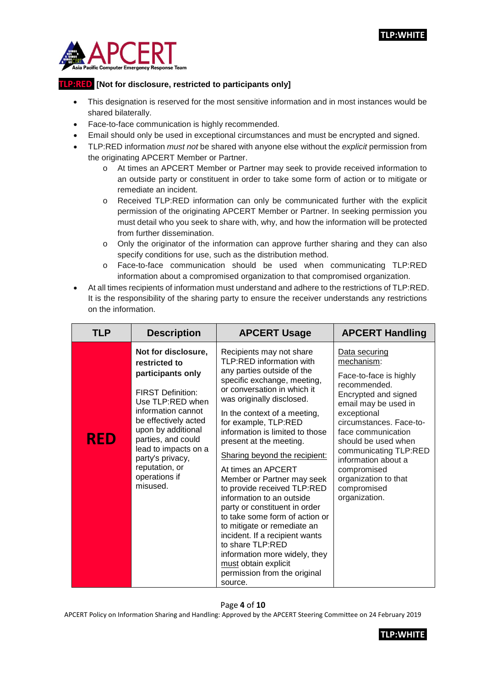

### **TLP:RED [Not for disclosure, restricted to participants only]**

- This designation is reserved for the most sensitive information and in most instances would be shared bilaterally.
- Face-to-face communication is highly recommended.
- Email should only be used in exceptional circumstances and must be encrypted and signed.
- TLP:RED information *must not* be shared with anyone else without the *explicit* permission from the originating APCERT Member or Partner.
	- o At times an APCERT Member or Partner may seek to provide received information to an outside party or constituent in order to take some form of action or to mitigate or remediate an incident.
	- o Received TLP:RED information can only be communicated further with the explicit permission of the originating APCERT Member or Partner. In seeking permission you must detail who you seek to share with, why, and how the information will be protected from further dissemination.
	- $\circ$  Only the originator of the information can approve further sharing and they can also specify conditions for use, such as the distribution method.
	- o Face-to-face communication should be used when communicating TLP:RED information about a compromised organization to that compromised organization.
- At all times recipients of information must understand and adhere to the restrictions of TLP:RED. It is the responsibility of the sharing party to ensure the receiver understands any restrictions on the information.

| <b>TLP</b> | <b>Description</b>                                                                                                                                                                                                                                                                             | <b>APCERT Usage</b>                                                                                                                                                                                                                                                                                                                                                                                                                                                                                                                                                                                                                                                                                              | <b>APCERT Handling</b>                                                                                                                                                                                                                                                                                                              |
|------------|------------------------------------------------------------------------------------------------------------------------------------------------------------------------------------------------------------------------------------------------------------------------------------------------|------------------------------------------------------------------------------------------------------------------------------------------------------------------------------------------------------------------------------------------------------------------------------------------------------------------------------------------------------------------------------------------------------------------------------------------------------------------------------------------------------------------------------------------------------------------------------------------------------------------------------------------------------------------------------------------------------------------|-------------------------------------------------------------------------------------------------------------------------------------------------------------------------------------------------------------------------------------------------------------------------------------------------------------------------------------|
| <b>RED</b> | Not for disclosure,<br>restricted to<br>participants only<br><b>FIRST Definition:</b><br>Use TLP:RED when<br>information cannot<br>be effectively acted<br>upon by additional<br>parties, and could<br>lead to impacts on a<br>party's privacy,<br>reputation, or<br>operations if<br>misused. | Recipients may not share<br>TLP:RED information with<br>any parties outside of the<br>specific exchange, meeting,<br>or conversation in which it<br>was originally disclosed.<br>In the context of a meeting,<br>for example, TLP:RED<br>information is limited to those<br>present at the meeting.<br>Sharing beyond the recipient:<br>At times an APCERT<br>Member or Partner may seek<br>to provide received TLP:RED<br>information to an outside<br>party or constituent in order<br>to take some form of action or<br>to mitigate or remediate an<br>incident. If a recipient wants<br>to share TLP:RED<br>information more widely, they<br>must obtain explicit<br>permission from the original<br>source. | Data securing<br>mechanism:<br>Face-to-face is highly<br>recommended.<br>Encrypted and signed<br>email may be used in<br>exceptional<br>circumstances. Face-to-<br>face communication<br>should be used when<br>communicating TLP:RED<br>information about a<br>compromised<br>organization to that<br>compromised<br>organization. |

#### Page **4** of **10**

APCERT Policy on Information Sharing and Handling: Approved by the APCERT Steering Committee on 24 February 2019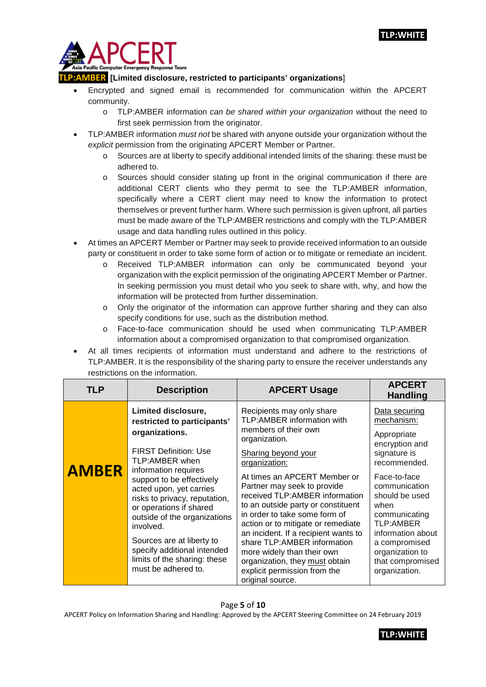

#### **TR [Limited disclosure, restricted to participants' organizations]**

- Encrypted and signed email is recommended for communication within the APCERT community.
	- o TLP:AMBER information *can be shared within your organization* without the need to first seek permission from the originator.
- TLP:AMBER information *must not* be shared with anyone outside your organization without the *explicit* permission from the originating APCERT Member or Partner.
	- Sources are at liberty to specify additional intended limits of the sharing: these must be adhered to.
	- o Sources should consider stating up front in the original communication if there are additional CERT clients who they permit to see the TLP:AMBER information, specifically where a CERT client may need to know the information to protect themselves or prevent further harm. Where such permission is given upfront, all parties must be made aware of the TLP:AMBER restrictions and comply with the TLP:AMBER usage and data handling rules outlined in this policy.
- At times an APCERT Member or Partner may seek to provide received information to an outside party or constituent in order to take some form of action or to mitigate or remediate an incident.
	- o Received TLP:AMBER information can only be communicated beyond your organization with the explicit permission of the originating APCERT Member or Partner. In seeking permission you must detail who you seek to share with, why, and how the information will be protected from further dissemination.
	- o Only the originator of the information can approve further sharing and they can also specify conditions for use, such as the distribution method.
	- o Face-to-face communication should be used when communicating TLP:AMBER information about a compromised organization to that compromised organization.
- At all times recipients of information must understand and adhere to the restrictions of TLP:AMBER. It is the responsibility of the sharing party to ensure the receiver understands any restrictions on the information.

| <b>TLP</b>   | <b>Description</b>                                                                                                                                                                                                                                                                                                         | <b>APCERT Usage</b>                                                                                                                                                                                                                                                                                                                                                                                                     | <b>APCERT</b><br><b>Handling</b>                                                                                                                                                                    |
|--------------|----------------------------------------------------------------------------------------------------------------------------------------------------------------------------------------------------------------------------------------------------------------------------------------------------------------------------|-------------------------------------------------------------------------------------------------------------------------------------------------------------------------------------------------------------------------------------------------------------------------------------------------------------------------------------------------------------------------------------------------------------------------|-----------------------------------------------------------------------------------------------------------------------------------------------------------------------------------------------------|
|              | Limited disclosure,<br>restricted to participants'<br>organizations.<br><b>FIRST Definition: Use</b>                                                                                                                                                                                                                       | Recipients may only share<br>TLP:AMBER information with<br>members of their own<br>organization.<br>Sharing beyond your                                                                                                                                                                                                                                                                                                 | Data securing<br>mechanism:<br>Appropriate<br>encryption and<br>signature is                                                                                                                        |
| <b>AMBER</b> | TLP:AMBER when<br>information requires<br>support to be effectively<br>acted upon, yet carries<br>risks to privacy, reputation,<br>or operations if shared<br>outside of the organizations<br>involved.<br>Sources are at liberty to<br>specify additional intended<br>limits of the sharing: these<br>must be adhered to. | organization:<br>At times an APCERT Member or<br>Partner may seek to provide<br>received TLP:AMBER information<br>to an outside party or constituent<br>in order to take some form of<br>action or to mitigate or remediate<br>an incident. If a recipient wants to<br>share TLP: AMBER information<br>more widely than their own<br>organization, they must obtain<br>explicit permission from the<br>original source. | recommended.<br>Face-to-face<br>communication<br>should be used<br>when<br>communicating<br>TLP:AMBER<br>information about<br>a compromised<br>organization to<br>that compromised<br>organization. |

#### Page **5** of **10**

APCERT Policy on Information Sharing and Handling: Approved by the APCERT Steering Committee on 24 February 2019

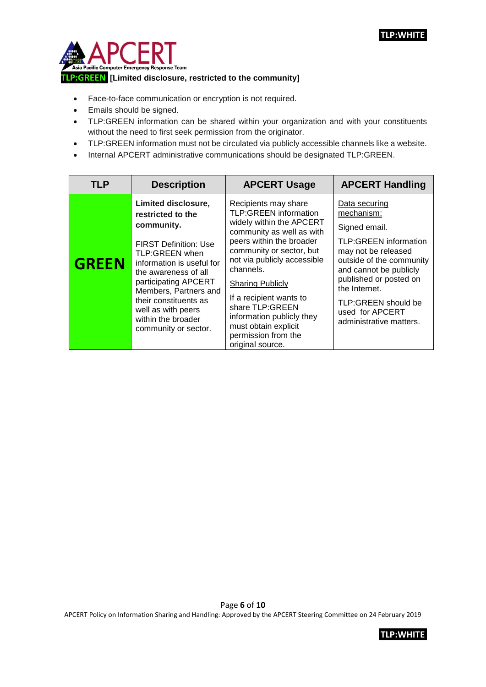

- Face-to-face communication or encryption is not required.
- Emails should be signed.
- TLP:GREEN information can be shared within your organization and with your constituents without the need to first seek permission from the originator.
- TLP:GREEN information must not be circulated via publicly accessible channels like a website.
- Internal APCERT administrative communications should be designated TLP:GREEN.

| <b>TLP</b>   | <b>Description</b>                                                                                                                                                                                                                                                                                                 | <b>APCERT Usage</b>                                                                                                                                                                                                                                                                                                                                                                        | <b>APCERT Handling</b>                                                                                                                                                                                                                                                    |
|--------------|--------------------------------------------------------------------------------------------------------------------------------------------------------------------------------------------------------------------------------------------------------------------------------------------------------------------|--------------------------------------------------------------------------------------------------------------------------------------------------------------------------------------------------------------------------------------------------------------------------------------------------------------------------------------------------------------------------------------------|---------------------------------------------------------------------------------------------------------------------------------------------------------------------------------------------------------------------------------------------------------------------------|
| <b>GREEN</b> | Limited disclosure,<br>restricted to the<br>community.<br><b>FIRST Definition: Use</b><br><b>TLP:GREEN when</b><br>information is useful for<br>the awareness of all<br>participating APCERT<br>Members, Partners and<br>their constituents as<br>well as with peers<br>within the broader<br>community or sector. | Recipients may share<br><b>TLP:GREEN information</b><br>widely within the APCERT<br>community as well as with<br>peers within the broader<br>community or sector, but<br>not via publicly accessible<br>channels.<br><b>Sharing Publicly</b><br>If a recipient wants to<br>share TLP:GREEN<br>information publicly they<br>must obtain explicit<br>permission from the<br>original source. | Data securing<br>mechanism:<br>Signed email.<br><b>TLP:GREEN information</b><br>may not be released<br>outside of the community<br>and cannot be publicly<br>published or posted on<br>the Internet.<br>TLP:GREEN should be<br>used for APCERT<br>administrative matters. |

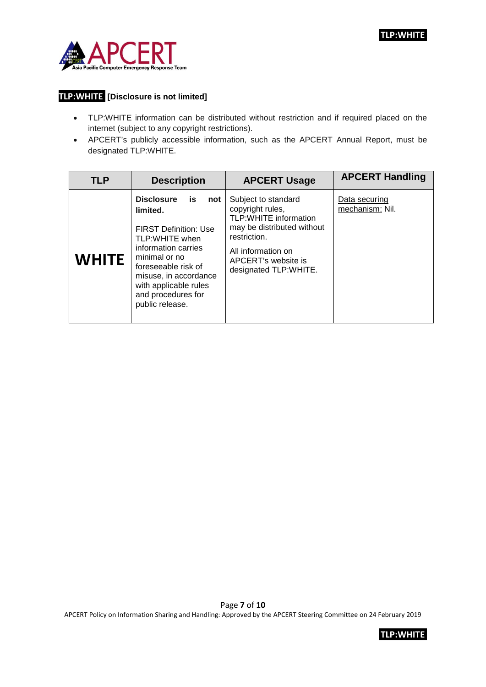

# **TLP:WHITE [Disclosure is not limited]**

- TLP:WHITE information can be distributed without restriction and if required placed on the internet (subject to any copyright restrictions).
- APCERT's publicly accessible information, such as the APCERT Annual Report, must be designated TLP:WHITE.

| <b>TLP</b>   | <b>Description</b>                                                                                                                                                                                                                                     | <b>APCERT Usage</b>                                                                                                                                                                         | <b>APCERT Handling</b>           |
|--------------|--------------------------------------------------------------------------------------------------------------------------------------------------------------------------------------------------------------------------------------------------------|---------------------------------------------------------------------------------------------------------------------------------------------------------------------------------------------|----------------------------------|
| <b>WHITE</b> | <b>Disclosure</b><br>is<br>not<br>limited.<br><b>FIRST Definition: Use</b><br>TLP:WHITE when<br>information carries<br>minimal or no<br>foreseeable risk of<br>misuse, in accordance<br>with applicable rules<br>and procedures for<br>public release. | Subject to standard<br>copyright rules,<br><b>TLP:WHITE information</b><br>may be distributed without<br>restriction.<br>All information on<br>APCERT's website is<br>designated TLP:WHITE. | Data securing<br>mechanism: Nil. |

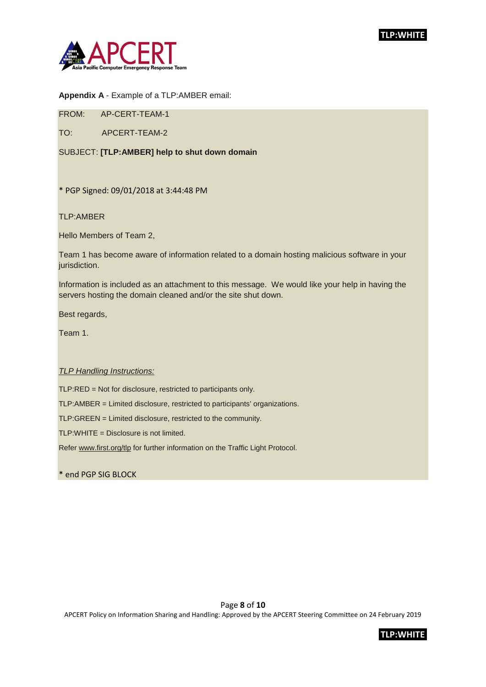

#### **Appendix A** - Example of a TLP:AMBER email:

FROM: AP-CERT-TEAM-1

TO: APCERT-TEAM-2

SUBJECT: **[TLP:AMBER] help to shut down domain**

\* PGP Signed: 09/01/2018 at 3:44:48 PM

TLP:AMBER

Hello Members of Team 2,

Team 1 has become aware of information related to a domain hosting malicious software in your jurisdiction.

Information is included as an attachment to this message. We would like your help in having the servers hosting the domain cleaned and/or the site shut down.

Best regards,

Team 1.

#### *TLP Handling Instructions:*

TLP:RED = Not for disclosure, restricted to participants only.

TLP:AMBER = Limited disclosure, restricted to participants' organizations.

TLP:GREEN = Limited disclosure, restricted to the community.

TLP:WHITE = Disclosure is not limited.

Refe[r www.first.org/tlp](http://www.first.org/tlp) for further information on the Traffic Light Protocol.

\* end PGP SIG BLOCK

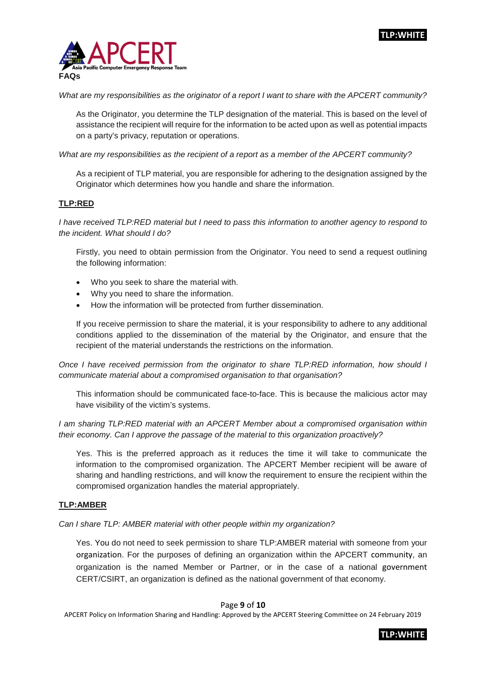

*What are my responsibilities as the originator of a report I want to share with the APCERT community?*

As the Originator, you determine the TLP designation of the material. This is based on the level of assistance the recipient will require for the information to be acted upon as well as potential impacts on a party's privacy, reputation or operations.

*What are my responsibilities as the recipient of a report as a member of the APCERT community?*

As a recipient of TLP material, you are responsible for adhering to the designation assigned by the Originator which determines how you handle and share the information.

#### **TLP:RED**

*I* have received TLP:RED material but *I* need to pass this information to another agency to respond to *the incident. What should I do?*

Firstly, you need to obtain permission from the Originator. You need to send a request outlining the following information:

- Who you seek to share the material with.
- Why you need to share the information.
- How the information will be protected from further dissemination.

If you receive permission to share the material, it is your responsibility to adhere to any additional conditions applied to the dissemination of the material by the Originator, and ensure that the recipient of the material understands the restrictions on the information.

*Once I have received permission from the originator to share TLP:RED information, how should I communicate material about a compromised organisation to that organisation?*

This information should be communicated face-to-face. This is because the malicious actor may have visibility of the victim's systems.

*I am sharing TLP:RED material with an APCERT Member about a compromised organisation within their economy. Can I approve the passage of the material to this organization proactively?* 

Yes. This is the preferred approach as it reduces the time it will take to communicate the information to the compromised organization. The APCERT Member recipient will be aware of sharing and handling restrictions, and will know the requirement to ensure the recipient within the compromised organization handles the material appropriately.

#### **TLP:AMBER**

*Can I share TLP: AMBER material with other people within my organization?* 

Yes. You do not need to seek permission to share TLP:AMBER material with someone from your organization. For the purposes of defining an organization within the APCERT community, an organization is the named Member or Partner, or in the case of a national government CERT/CSIRT, an organization is defined as the national government of that economy.

#### Page **9** of **10**

APCERT Policy on Information Sharing and Handling: Approved by the APCERT Steering Committee on 24 February 2019